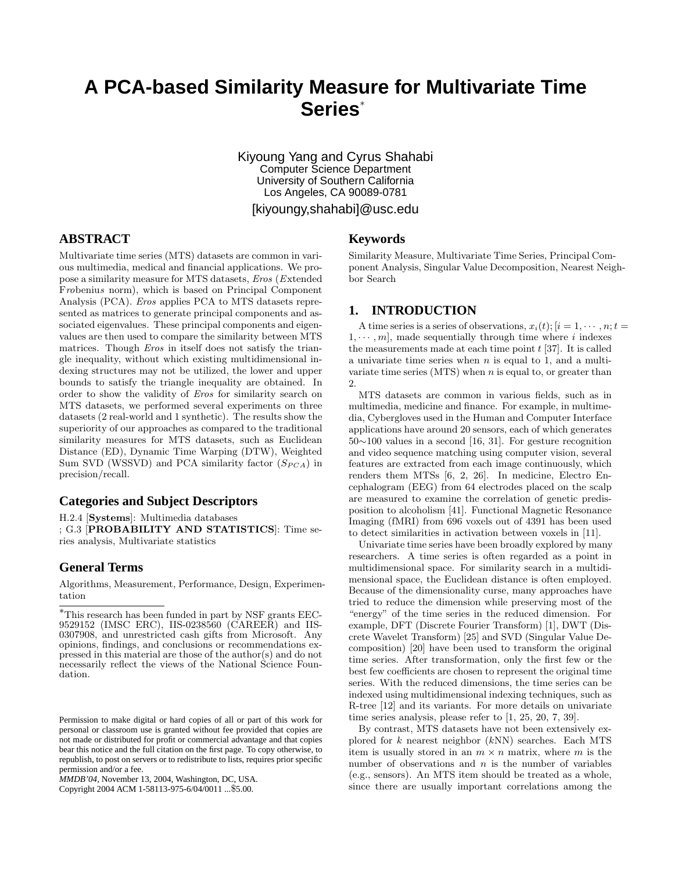# **A PCA-based Similarity Measure for Multivariate Time Series**<sup>∗</sup>

Kiyoung Yang and Cyrus Shahabi Computer Science Department University of Southern California Los Angeles, CA 90089-0781

[kiyoungy,shahabi]@usc.edu

# **ABSTRACT**

Multivariate time series (MTS) datasets are common in various multimedia, medical and financial applications. We propose a similarity measure for MTS datasets, *Eros* (*E*xtended F*ro*beniu*s* norm), which is based on Principal Component Analysis (PCA). *Eros* applies PCA to MTS datasets represented as matrices to generate principal components and associated eigenvalues. These principal components and eigenvalues are then used to compare the similarity between MTS matrices. Though *Eros* in itself does not satisfy the triangle inequality, without which existing multidimensional indexing structures may not be utilized, the lower and upper bounds to satisfy the triangle inequality are obtained. In order to show the validity of *Eros* for similarity search on MTS datasets, we performed several experiments on three datasets (2 real-world and 1 synthetic). The results show the superiority of our approaches as compared to the traditional similarity measures for MTS datasets, such as Euclidean Distance (ED), Dynamic Time Warping (DTW), Weighted Sum SVD (WSSVD) and PCA similarity factor (S*PCA*) in precision/recall.

#### **Categories and Subject Descriptors**

H.2.4 [**Systems**]: Multimedia databases

; G.3 [**PROBABILITY AND STATISTICS**]: Time series analysis, Multivariate statistics

#### **General Terms**

Algorithms, Measurement, Performance, Design, Experimentation

Copyright 2004 ACM 1-58113-975-6/04/0011 ...\$5.00.

#### **Keywords**

Similarity Measure, Multivariate Time Series, Principal Component Analysis, Singular Value Decomposition, Nearest Neighbor Search

# **1. INTRODUCTION**

A time series is a series of observations,  $x_i(t)$ ;  $i = 1, \dots, n$ ;  $t =$  $1, \dots, m$ , made sequentially through time where i indexes the measurements made at each time point  $t$  [37]. It is called a univariate time series when  $n$  is equal to 1, and a multivariate time series  $(MTS)$  when *n* is equal to, or greater than 2.

MTS datasets are common in various fields, such as in multimedia, medicine and finance. For example, in multimedia, Cybergloves used in the Human and Computer Interface applications have around 20 sensors, each of which generates 50∼100 values in a second [16, 31]. For gesture recognition and video sequence matching using computer vision, several features are extracted from eachimage continuously, which renders them MTSs [6, 2, 26]. In medicine, Electro Encephalogram (EEG) from 64 electrodes placed on the scalp are measured to examine the correlation of genetic predisposition to alcoholism [41]. Functional Magnetic Resonance Imaging (fMRI) from 696 voxels out of 4391 has been used to detect similarities in activation between voxels in [11].

Univariate time series have been broadly explored by many researchers. A time series is often regarded as a point in multidimensional space. For similarity search in a multidimensional space, the Euclidean distance is often employed. Because of the dimensionality curse, many approaches have tried to reduce the dimension while preserving most of the "energy" of the time series in the reduced dimension. For example, DFT (Discrete Fourier Transform) [1], DWT (Discrete Wavelet Transform) [25] and SVD (Singular Value Decomposition) [20] have been used to transform the original time series. After transformation, only the first few or the best few coefficients are chosen to represent the original time series. With the reduced dimensions, the time series can be indexed using multidimensional indexing techniques, such as R-tree [12] and its variants. For more details on univariate time series analysis, please refer to [1, 25, 20, 7, 39].

By contrast, MTS datasets have not been extensively explored for  $k$  nearest neighbor  $(kNN)$  searches. Each MTS item is usually stored in an  $m \times n$  matrix, where m is the number of observations and  $n$  is the number of variables (e.g., sensors). An MTS item should be treated as a whole, since there are usually important correlations among the

<sup>∗</sup>This research has been funded in part by NSF grants EEC-9529152 (IMSC ERC), IIS-0238560 (CAREER) and IIS-0307908, and unrestricted cashgifts from Microsoft. Any opinions, findings, and conclusions or recommendations expressed in this material are those of the author(s) and do not necessarily reflect the views of the National Science Foundation.

Permission to make digital or hard copies of all or part of this work for personal or classroom use is granted without fee provided that copies are not made or distributed for profit or commercial advantage and that copies bear this notice and the full citation on the first page. To copy otherwise, to republish, to post on servers or to redistribute to lists, requires prior specific permission and/or a fee.

*MMDB'04,* November 13, 2004, Washington, DC, USA.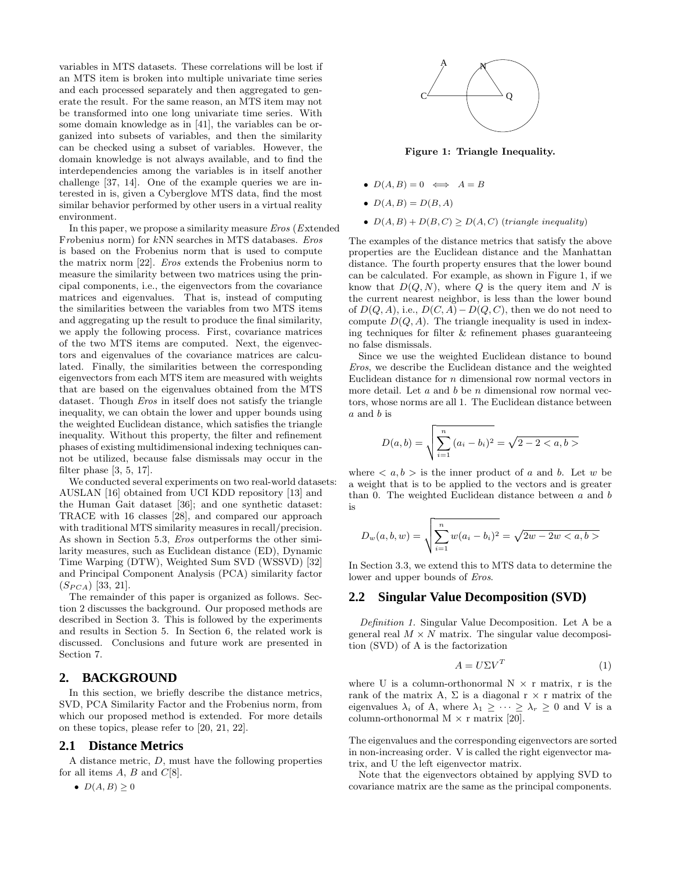variables in MTS datasets. These correlations will be lost if an MTS item is broken into multiple univariate time series and each processed separately and then aggregated to generate the result. For the same reason, an MTS item may not be transformed into one long univariate time series. With some domain knowledge as in [41], the variables can be organized into subsets of variables, and then the similarity can be checked using a subset of variables. However, the domain knowledge is not always available, and to find the interdependencies among the variables is in itself another challenge [37, 14]. One of the example queries we are interested in is, given a Cyberglove MTS data, find the most similar behavior performed by other users in a virtual reality environment.

In this paper, we propose a similarity measure *Eros* (*E*xtended F*ro*beniu*s* norm) for kNN searches in MTS databases. *Eros* is based on the Frobenius norm that is used to compute the matrix norm [22]. *Eros* extends the Frobenius norm to measure the similarity between two matrices using the principal components, i.e., the eigenvectors from the covariance matrices and eigenvalues. That is, instead of computing the similarities between the variables from two MTS items and aggregating up the result to produce the final similarity, we apply the following process. First, covariance matrices of the two MTS items are computed. Next, the eigenvectors and eigenvalues of the covariance matrices are calculated. Finally, the similarities between the corresponding eigenvectors from each MTS item are measured with weights that are based on the eigenvalues obtained from the MTS dataset. Though *Eros* in itself does not satisfy the triangle inequality, we can obtain the lower and upper bounds using the weighted Euclidean distance, which satisfies the triangle inequality. Without this property, the filter and refinement phases of existing multidimensional indexing techniques cannot be utilized, because false dismissals may occur in the filter phase [3, 5, 17].

We conducted several experiments on two real-world datasets: AUSLAN [16] obtained from UCI KDD repository [13] and the Human Gait dataset [36]; and one synthetic dataset: TRACE with 16 classes [28], and compared our approach with traditional MTS similarity measures in recall/precision. As shown in Section 5.3, *Eros* outperforms the other similarity measures, such as Euclidean distance (ED), Dynamic Time Warping (DTW), Weighted Sum SVD (WSSVD) [32] and Principal Component Analysis (PCA) similarity factor (S*PCA*) [33, 21].

The remainder of this paper is organized as follows. Section 2 discusses the background. Our proposed methods are described in Section 3. This is followed by the experiments and results in Section 5. In Section 6, the related work is discussed. Conclusions and future work are presented in Section 7.

### **2. BACKGROUND**

In this section, we briefly describe the distance metrics, SVD, PCA Similarity Factor and the Frobenius norm, from which our proposed method is extended. For more details on these topics, please refer to [20, 21, 22].

#### **2.1 Distance Metrics**

A distance metric, D, must have the following properties for all items  $A, B$  and  $C[8]$ .

 $\bullet$   $D(A, B) \geq 0$ 



**Figure 1: Triangle Inequality.**

- $D(A, B) = 0 \iff A = B$
- $D(A, B) = D(B, A)$
- $D(A, B) + D(B, C) \ge D(A, C)$  (*triangle inequality*)

The examples of the distance metrics that satisfy the above properties are the Euclidean distance and the Manhattan distance. The fourth property ensures that the lower bound can be calculated. For example, as shown in Figure 1, if we know that  $D(Q, N)$ , where Q is the query item and N is the current nearest neighbor, is less than the lower bound of  $D(Q, A)$ , i.e.,  $D(C, A) - D(Q, C)$ , then we do not need to compute  $D(Q, A)$ . The triangle inequality is used in indexing techniques for filter & refinement phases guaranteeing no false dismissals.

Since we use the weighted Euclidean distance to bound *Eros*, we describe the Euclidean distance and the weighted Euclidean distance for n dimensional row normal vectors in more detail. Let  $a$  and  $b$  be  $n$  dimensional row normal vectors, whose norms are all 1. The Euclidean distance between a and b is

$$
D(a,b) = \sqrt{\sum_{i=1}^{n} (a_i - b_i)^2} = \sqrt{2 - 2 < a, b > 0}
$$

where  $\langle a, b \rangle$  is the inner product of a and b. Let w be a weight that is to be applied to the vectors and is greater than 0. The weighted Euclidean distance between  $a$  and  $b$ is

$$
D_w(a, b, w) = \sqrt{\sum_{i=1}^{n} w(a_i - b_i)^2} = \sqrt{2w - 2w < a, b >}
$$

In Section 3.3, we extend this to MTS data to determine the lower and upper bounds of *Eros*.

# **2.2 Singular Value Decomposition (SVD)**

*Definition 1.* Singular Value Decomposition. Let A be a general real  $M \times N$  matrix. The singular value decomposition (SVD) of A is the factorization

$$
A = U\Sigma V^T \tag{1}
$$

where U is a column-orthonormal  $N \times r$  matrix, r is the rank of the matrix A,  $\Sigma$  is a diagonal r  $\times$  r matrix of the eigenvalues  $\lambda_i$  of A, where  $\lambda_1 \geq \cdots \geq \lambda_r \geq 0$  and V is a column-orthonormal  $M \times r$  matrix [20].

The eigenvalues and the corresponding eigenvectors are sorted in non-increasing order. V is called the right eigenvector matrix, and U the left eigenvector matrix.

Note that the eigenvectors obtained by applying SVD to covariance matrix are the same as the principal components.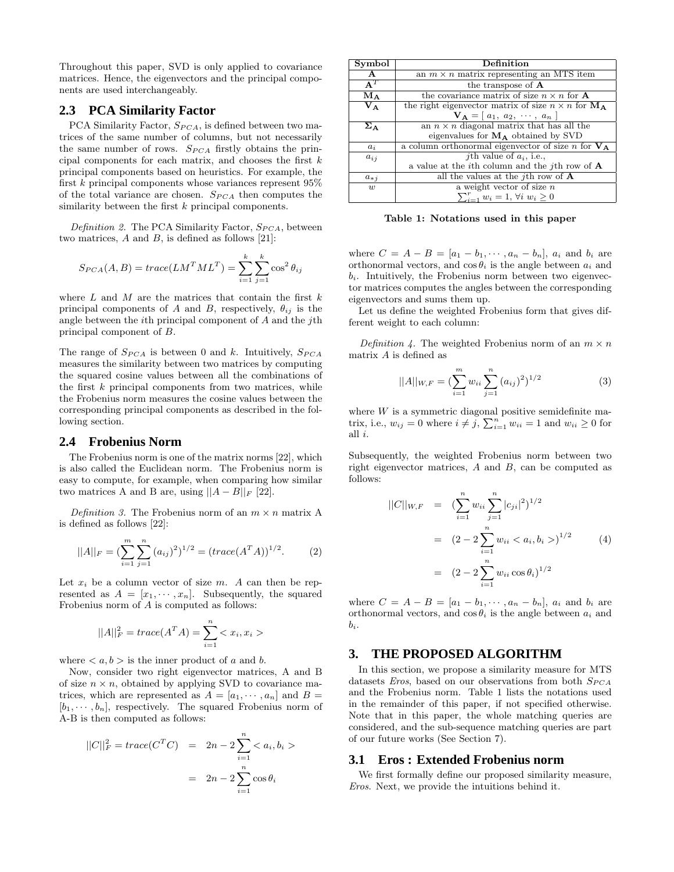Throughout this paper, SVD is only applied to covariance matrices. Hence, the eigenvectors and the principal components are used interchangeably.

#### **2.3 PCA Similarity Factor**

PCA Similarity Factor, S*PCA*, is defined between two matrices of the same number of columns, but not necessarily the same number of rows.  $S_{PCA}$  firstly obtains the principal components for each matrix, and chooses the first  $k$ principal components based on heuristics. For example, the first  $k$  principal components whose variances represent  $95\%$ of the total variance are chosen. S*PCA* then computes the similarity between the first k principal components.

*Definition 2.* The PCA Similarity Factor, S*PCA*, between two matrices,  $A$  and  $B$ , is defined as follows [21]:

$$
S_{PCA}(A, B) = trace(LMTMLT) = \sum_{i=1}^{k} \sum_{j=1}^{k} cos2 θij
$$

where  $L$  and  $M$  are the matrices that contain the first  $k$ principal components of A and B, respectively,  $\theta_{ij}$  is the angle between the *i*th principal component of  $A$  and the *j*th principal component of B.

The range of S*PCA* is between 0 and k. Intuitively, S*PCA* measures the similarity between two matrices by computing the squared cosine values between all the combinations of the first  $k$  principal components from two matrices, while the Frobenius norm measures the cosine values between the corresponding principal components as described in the following section.

#### **2.4 Frobenius Norm**

The Frobenius norm is one of the matrix norms [22], which is also called the Euclidean norm. The Frobenius norm is easy to compute, for example, when comparing how similar two matrices A and B are, using  $||A - B||_F$  [22].

*Definition 3.* The Frobenius norm of an  $m \times n$  matrix A is defined as follows [22]:

$$
||A||_F = \left(\sum_{i=1}^m \sum_{j=1}^n (a_{ij})^2\right)^{1/2} = \left(\operatorname{trace}(A^T A)\right)^{1/2}.\tag{2}
$$

Let  $x_i$  be a column vector of size  $m$ . A can then be represented as  $A = [x_1, \dots, x_n]$ . Subsequently, the squared Frobenius norm of A is computed as follows:

$$
||A||_F^2 = trace(A^T A) = \sum_{i=1}^n \langle x_i, x_i \rangle
$$

where  $\langle a, b \rangle$  is the inner product of a and b.

Now, consider two right eigenvector matrices, A and B of size  $n \times n$ , obtained by applying SVD to covariance matrices, which are represented as  $A = [a_1, \dots, a_n]$  and  $B =$  $[b_1, \dots, b_n]$ , respectively. The squared Frobenius norm of A-B is then computed as follows:

$$
||C||_F^2 = trace(C^TC) = 2n - 2\sum_{i=1}^n
$$
  
=  $2n - 2\sum_{i=1}^n cos\theta_i$ 

| Symbol     | Definition                                                                 |
|------------|----------------------------------------------------------------------------|
|            | an $m \times n$ matrix representing an MTS item                            |
|            | the transpose of $A$                                                       |
| $\rm{M_A}$ | the covariance matrix of size $n \times n$ for <b>A</b>                    |
| V A        | the right eigenvector matrix of size $n \times n$ for $M_A$                |
|            | $\mathbf{V}_{\mathbf{A}} = [a_1, a_2, \cdots, a_n]$                        |
| $\Sigma_A$ | an $n \times n$ diagonal matrix that has all the                           |
|            | eigenvalues for $M_A$ obtained by SVD                                      |
| $a_i$      | a column orthonormal eigenvector of size n for $\mathbf{V}_\mathbf{A}$     |
| $a_{ij}$   | <i>j</i> th value of $a_i$ , i.e.,                                         |
|            | a value at the $i\text{th}$ column and the $j\text{th}$ row of $\mathbf A$ |
| $a_{*i}$   | all the values at the j <sup>th</sup> row of $\bf{A}$                      |
|            | a weight vector of size $n$                                                |
|            | $\sum_{i=1}^r w_i = 1, \forall i \; w_i \geq 0$                            |

**Table 1: Notations used in this paper**

where  $C = A - B = [a_1 - b_1, \dots, a_n - b_n], a_i$  and  $b_i$  are orthonormal vectors, and  $\cos \theta_i$  is the angle between  $a_i$  and  $b_i$ . Intuitively, the Frobenius norm between two eigenvector matrices computes the angles between the corresponding eigenvectors and sums them up.

Let us define the weighted Frobenius form that gives different weight to each column:

*Definition 4.* The weighted Frobenius norm of an  $m \times n$ matrix A is defined as

$$
||A||_{W,F} = \left(\sum_{i=1}^{m} w_{ii} \sum_{j=1}^{n} (a_{ij})^2\right)^{1/2}
$$
 (3)

where  $W$  is a symmetric diagonal positive semidefinite matrix, i.e.,  $w_{ij} = 0$  where  $i \neq j$ ,  $\sum_{i=1}^{n} w_{ii} = 1$  and  $w_{ii} \geq 0$  for all i.

Subsequently, the weighted Frobenius norm between two right eigenvector matrices, A and B, can be computed as follows:

$$
||C||_{W,F} = \left(\sum_{i=1}^{n} w_{ii} \sum_{j=1}^{n} |c_{ji}|^2\right)^{1/2}
$$
  
=  $(2 - 2 \sum_{i=1}^{n} w_{ii} < a_i, b_i >)^{1/2}$  (4)  
=  $(2 - 2 \sum_{i=1}^{n} w_{ii} \cos \theta_i)^{1/2}$ 

where  $C = A - B = [a_1 - b_1, \dots, a_n - b_n], a_i$  and  $b_i$  are orthonormal vectors, and  $\cos \theta_i$  is the angle between  $a_i$  and b*i*.

# **3. THE PROPOSED ALGORITHM**

In this section, we propose a similarity measure for MTS datasets *Eros*, based on our observations from both S*PCA* and the Frobenius norm. Table 1 lists the notations used in the remainder of this paper, if not specified otherwise. Note that in this paper, the whole matching queries are considered, and the sub-sequence matching queries are part of our future works (See Section 7).

#### **3.1 Eros : Extended Frobenius norm**

We first formally define our proposed similarity measure, *Eros*. Next, we provide the intuitions behind it.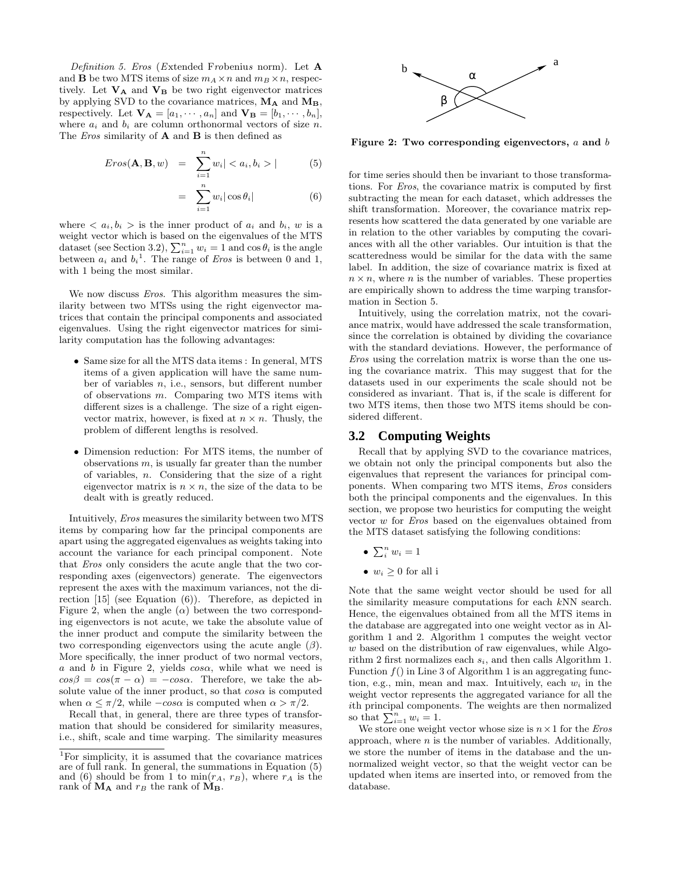*Definition 5. Eros* (*E*xtended F*ro*beniu*s* norm). Let **A** and **B** be two MTS items of size  $m_A \times n$  and  $m_B \times n$ , respectively. Let  $V_A$  and  $V_B$  be two right eigenvector matrices by applying SVD to the covariance matrices, **M<sup>A</sup>** and **MB**, respectively. Let  $\mathbf{V}_\mathbf{A} = [a_1, \cdots, a_n]$  and  $\mathbf{V}_\mathbf{B} = [b_1, \cdots, b_n]$ , where  $a_i$  and  $b_i$  are column orthonormal vectors of size  $n$ . The *Eros* similarity of **A** and **B** is then defined as

$$
Eros(\mathbf{A}, \mathbf{B}, w) = \sum_{i=1}^{n} w_i | < a_i, b_i > | \tag{5}
$$

$$
= \sum_{i=1}^{n} w_i |\cos \theta_i| \tag{6}
$$

where  $\langle a_i, b_i \rangle$  is the inner product of  $a_i$  and  $b_i$ , w is a weight vector which is based on the eigenvalues of the MTS dataset (see Section 3.2),  $\sum_{i=1}^{n} w_i = 1$  and  $\cos \theta_i$  is the angle between  $a_i$  and  $b_i$ <sup>1</sup>. The range of *Eros* is between 0 and 1, with 1 being the most similar.

We now discuss *Eros*. This algorithm measures the similarity between two MTSs using the right eigenvector matrices that contain the principal components and associated eigenvalues. Using the right eigenvector matrices for similarity computation has the following advantages:

- Same size for all the MTS data items : In general, MTS items of a given application will have the same number of variables n, i.e., sensors, but different number of observations m. Comparing two MTS items with different sizes is a challenge. The size of a right eigenvector matrix, however, is fixed at  $n \times n$ . Thusly, the problem of different lengths is resolved.
- Dimension reduction: For MTS items, the number of observations  $m$ , is usually far greater than the number of variables, n. Considering that the size of a right eigenvector matrix is  $n \times n$ , the size of the data to be dealt with is greatly reduced.

Intuitively, *Eros* measures the similarity between two MTS items by comparing how far the principal components are apart using the aggregated eigenvalues as weights taking into account the variance for each principal component. Note that *Eros* only considers the acute angle that the two corresponding axes (eigenvectors) generate. The eigenvectors represent the axes with the maximum variances, not the direction [15] (see Equation (6)). Therefore, as depicted in Figure 2, when the angle  $(\alpha)$  between the two corresponding eigenvectors is not acute, we take the absolute value of the inner product and compute the similarity between the two corresponding eigenvectors using the acute angle  $(\beta)$ . More specifically, the inner product of two normal vectors, a and b in Figure 2, yields  $cos\alpha$ , while what we need is  $cos\beta = cos(\pi - \alpha) = -cos\alpha$ . Therefore, we take the absolute value of the inner product, so that  $cos\alpha$  is computed when  $\alpha \leq \pi/2$ , while  $-cos\alpha$  is computed when  $\alpha > \pi/2$ .

Recall that, in general, there are three types of transformation that should be considered for similarity measures, i.e., shift, scale and time warping. The similarity measures



**Figure 2: Two corresponding eigenvectors,** a **and** b

for time series should then be invariant to those transformations. For *Eros*, the covariance matrix is computed by first subtracting the mean for each dataset, which addresses the shift transformation. Moreover, the covariance matrix represents how scattered the data generated by one variable are in relation to the other variables by computing the covariances with all the other variables. Our intuition is that the scatteredness would be similar for the data with the same label. In addition, the size of covariance matrix is fixed at  $n \times n$ , where *n* is the number of variables. These properties are empirically shown to address the time warping transformation in Section 5.

Intuitively, using the correlation matrix, not the covariance matrix, would have addressed the scale transformation, since the correlation is obtained by dividing the covariance with the standard deviations. However, the performance of *Eros* using the correlation matrix is worse than the one using the covariance matrix. This may suggest that for the datasets used in our experiments the scale should not be considered as invariant. That is, if the scale is different for two MTS items, then those two MTS items should be considered different.

## **3.2 Computing Weights**

Recall that by applying SVD to the covariance matrices, we obtain not only the principal components but also the eigenvalues that represent the variances for principal components. When comparing two MTS items, *Eros* considers both the principal components and the eigenvalues. In this section, we propose two heuristics for computing the weight vector w for *Eros* based on the eigenvalues obtained from the MTS dataset satisfying the following conditions:

- $\sum_i^n w_i = 1$
- $w_i \geq 0$  for all i

Note that the same weight vector should be used for all the similarity measure computations for each kNN search. Hence, the eigenvalues obtained from all the MTS items in the database are aggregated into one weight vector as in Algorithm 1 and 2. Algorithm 1 computes the weight vector w based on the distribution of raw eigenvalues, while Algorithm 2 first normalizes each s*i*, and then calls Algorithm 1. Function  $f()$  in Line 3 of Algorithm 1 is an aggregating function, e.g., min, mean and max. Intuitively, each  $w_i$  in the weight vector represents the aggregated variance for all the ith principal components. The weights are then normalized so that  $\sum_{i=1}^{n} w_i = 1$ .

We store one weight vector whose size is  $n \times 1$  for the *Eros* approach, where  $n$  is the number of variables. Additionally, we store the number of items in the database and the unnormalized weight vector, so that the weight vector can be updated when items are inserted into, or removed from the database.

<sup>&</sup>lt;sup>1</sup>For simplicity, it is assumed that the covariance matrices are of full rank. In general, the summations in Equation (5) and (6) should be from 1 to  $\min(r_A, r_B)$ , where  $r_A$  is the rank of  $M_A$  and  $r_B$  the rank of  $M_B$ .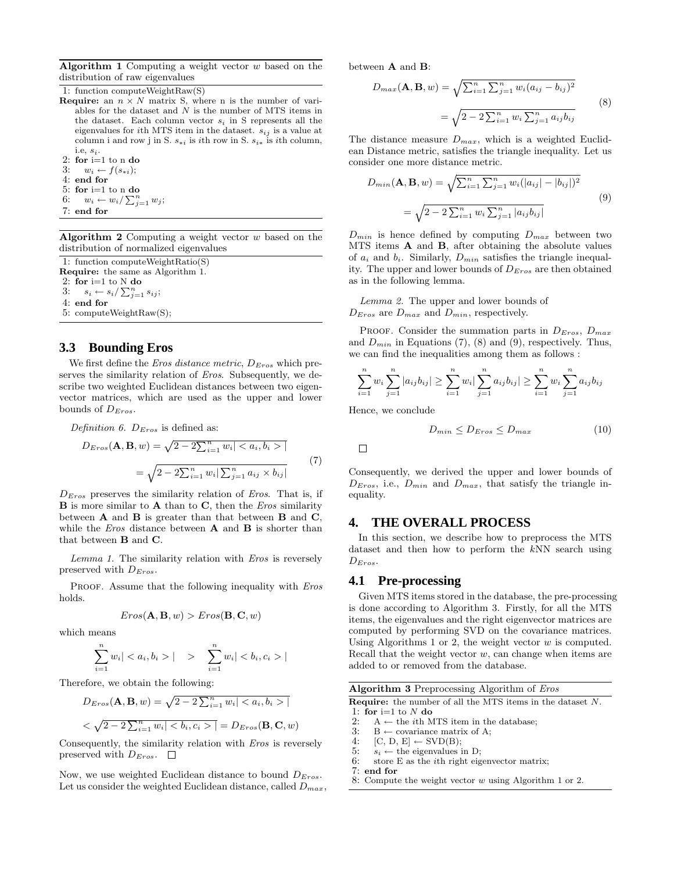**Algorithm 1** Computing a weight vector w based on the distribution of raw eigenvalues

1: function computeWeightRaw(S)

**Require:** an  $n \times N$  matrix S, where n is the number of variables for the dataset and *N* is the number of MTS items in the dataset. Each column vector *<sup>s</sup><sup>i</sup>* in S represents all the eigenvalues for *i*th MTS item in the dataset.  $s_{ij}$  is a value at column i and row j in S.  $s_{*i}$  is *i*th row in S.  $s_{i*}$  is *i*th column, i.e, *si*.

2: **for** i=1 to n **do** 3:  $w_i \leftarrow f(s_{*i});$ 4: **end for** 5: **for** i=1 to n **do**<br>6:  $w_i \leftarrow w_i / \sum_{i=1}^{n}$ 6:  $w_i \leftarrow w_i / \sum_{j=1}^n w_j;$ <br>7: and for 7: **end for**

**Algorithm 2** Computing a weight vector w based on the distribution of normalized eigenvalues

1: function computeWeightRatio(S) **Require:** the same as Algorithm 1. 2: **for** i=1 to N **do**<br>3:  $s_i \leftarrow s_i / \sum_{i=1}^n$ 3:  $s_i \leftarrow s_i / \sum_{j=1}^n s_{ij};$ <br>4: and for 4: **end for** 5: computeWeightRaw(S);

#### **3.3 Bounding Eros**

We first define the *Eros distance metric*, D*Eros* which preserves the similarity relation of *Eros*. Subsequently, we describe two weighted Euclidean distances between two eigenvector matrices, which are used as the upper and lower bounds of D*Eros*.

*Definition 6. 
$$
D_{Eros}
$$
 is defined as:*

$$
D_{Eros}(\mathbf{A}, \mathbf{B}, w) = \sqrt{2 - 2\sum_{i=1}^{n} w_i | \langle a_i, b_i \rangle |}
$$
  
=  $\sqrt{2 - 2\sum_{i=1}^{n} w_i | \sum_{j=1}^{n} a_{ij} \times b_{ij} |}$  (7)  
Consequently, we derived the upper and lower bounds of

 $D<sub>Eros</sub>$  preserves the similarity relation of *Eros*. That is, if  $\bf{B}$  is more similar to  $\bf{A}$  than to  $\bf{C}$ , then the *Eros* similarity between **A** and **B** is greater than that between **B** and **C**, while the *Eros* distance between **A** and **B** is shorter than that between **B** and **C**.

*Lemma 1.* The similarity relation with *Eros* is reversely preserved with D*Eros*.

Proof. Assume that the following inequality with *Eros* holds.

$$
Eros(\mathbf{A}, \mathbf{B}, w) > Eros(\mathbf{B}, \mathbf{C}, w)
$$

which means

$$
\sum_{i=1}^{n} w_i | < a_i, b_i > | > \sum_{i=1}^{n} w_i | < b_i, c_i > |
$$

Therefore, we obtain the following:

$$
D_{Eros}(\mathbf{A}, \mathbf{B}, w) = \sqrt{2 - 2\sum_{i=1}^{n} w_i} < a_i, b_i > |
$$
\n
$$
\text{Required value: } \mathbf{A} \text{ is the number of all the MTS items in the dataset } N.
$$
\n
$$
\text{Required value: } \mathbf{A} \text{ is the number of all the MTS items in the dataset } N.
$$
\n
$$
\text{Required value: } \mathbf{A} \text{ is the number of all the MTS items in the dataset } N.
$$
\n
$$
\text{Required value: } \mathbf{A} \text{ is the number of all the MTS items in the dataset } N.
$$
\n
$$
\text{Required value: } \mathbf{A} \text{ is the number of all the MTS items in the dataset } N.
$$
\n
$$
\text{Required value: } \mathbf{A} \text{ is the number of all the MTS items in the dataset } N.
$$
\n
$$
\text{Required value: } \mathbf{A} \text{ is the number of all the MTS items in the dataset } N.
$$
\n
$$
\text{Required value: } \mathbf{A} \text{ is the number of all the MTS items in the dataset } N.
$$

Consequently, the similarity relation with *Eros* is reversely preserved with  $D_{Eros}.$   $\Box$ 

Now, we use weighted Euclidean distance to bound D*Eros*. Let us consider the weighted Euclidean distance, called D*max*, between **A** and **B**:

$$
D_{max}(\mathbf{A}, \mathbf{B}, w) = \sqrt{\sum_{i=1}^{n} \sum_{j=1}^{n} w_i (a_{ij} - b_{ij})^2}
$$
  
=  $\sqrt{2 - 2 \sum_{i=1}^{n} w_i \sum_{j=1}^{n} a_{ij} b_{ij}}$  (8)

The distance measure  $D_{max}$ , which is a weighted Euclidean Distance metric, satisfies the triangle inequality. Let us consider one more distance metric.

$$
D_{min}(\mathbf{A}, \mathbf{B}, w) = \sqrt{\sum_{i=1}^{n} \sum_{j=1}^{n} w_i (|a_{ij}| - |b_{ij}|)^2}
$$
  
=  $\sqrt{2 - 2 \sum_{i=1}^{n} w_i \sum_{j=1}^{n} |a_{ij}b_{ij}|}$  (9)

 $D_{min}$  is hence defined by computing  $D_{max}$  between two MTS items **A** and **B**, after obtaining the absolute values of  $a_i$  and  $b_i$ . Similarly,  $D_{min}$  satisfies the triangle inequality. The upper and lower bounds of D*Eros* are then obtained as in the following lemma.

*Lemma 2.* The upper and lower bounds of D*Eros* are D*max* and D*min*, respectively.

Proof. Consider the summation parts in D*Eros*, D*max* and  $D_{min}$  in Equations (7), (8) and (9), respectively. Thus, we can find the inequalities among them as follows :

$$
\sum_{i=1}^{n} w_i \sum_{j=1}^{n} |a_{ij}b_{ij}| \ge \sum_{i=1}^{n} w_i |\sum_{j=1}^{n} a_{ij}b_{ij}| \ge \sum_{i=1}^{n} w_i \sum_{j=1}^{n} a_{ij}b_{ij}
$$

Hence, we conclude

$$
D_{min} \le D_{Eros} \le D_{max} \tag{10}
$$

 $=\sqrt{2-2\sum_{i=1}^n w_i\sum_{i=1}^n a_{ij}\times b_{ij}}$  Consequently, we derived the upper and lower bounds of  $D_{Eros}$ , i.e.,  $D_{min}$  and  $D_{max}$ , that satisfy the triangle inequality.

#### **4. THE OVERALL PROCESS**

In this section, we describe how to preprocess the MTS dataset and then how to perform the  $kNN$  search using D*Eros*.

#### **4.1 Pre-processing**

Given MTS items stored in the database, the pre-processing is done according to Algorithm 3. Firstly, for all the MTS items, the eigenvalues and the right eigenvector matrices are computed by performing SVD on the covariance matrices. Using Algorithms 1 or 2, the weight vector  $w$  is computed. Recall that the weight vector  $w$ , can change when items are added to or removed from the database.

|  |  | Algorithm 3 Preprocessing Algorithm of Eros |  |  |  |  |
|--|--|---------------------------------------------|--|--|--|--|
|--|--|---------------------------------------------|--|--|--|--|

1: **for** i=1 to *N* **do**<br>2:  $A \leftarrow$  the *i*th *N* 

- 2: A ← the *i*<sup>th</sup> MTS item in the database;<br>3: B ← covariance matrix of A:
- 3: B ← covariance matrix of A;<br>4: [C, D, E] ← SVD(B);
- 4:  $[C, D, E] \leftarrow \text{SVD}(B);$ <br>5:  $s_i \leftarrow$  the eigenvalues i
- 5:  $s_i \leftarrow$  the eigenvalues in D;<br>6: store E as the *i*th right eig
- store E as the *i*th right eigenvector matrix;
- 7: **end for**
- 8: Compute the weight vector *w* using Algorithm 1 or 2.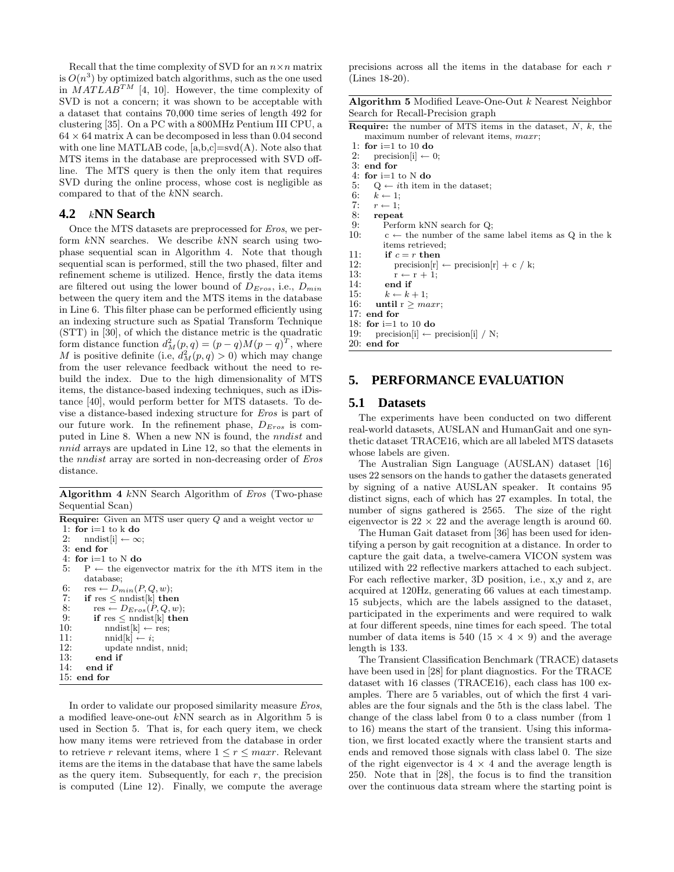Recall that the time complexity of SVD for an  $n \times n$  matrix is  $O(n^3)$  by optimized batch algorithms, such as the one used in  $\widehat{MATLAB^{TM}}$  [4, 10]. However, the time complexity of SVD is not a concern; it was shown to be acceptable with a dataset that contains 70,000 time series of length 492 for clustering [35]. On a PC witha 800MHz Pentium III CPU, a  $64 \times 64$  matrix A can be decomposed in less than 0.04 second with one line MATLAB code,  $[a,b,c]=svd(A)$ . Note also that MTS items in the database are preprocessed with SVD offline. The MTS query is then the only item that requires SVD during the online process, whose cost is negligible as compared to that of the kNN search.

# **4.2** k**NN Search**

Once the MTS datasets are preprocessed for *Eros*, we perform  $kNN$  searches. We describe  $kNN$  search using twophase sequential scan in Algorithm 4. Note that though sequential scan is performed, still the two phased, filter and refinement scheme is utilized. Hence, firstly the data items are filtered out using the lower bound of D*Eros*, i.e., D*min* between the query item and the MTS items in the database in Line 6. This filter phase can be performed efficiently using an indexing structure suchas Spatial Transform Technique (STT) in [30], of which the distance metric is the quadratic form distance function  $d_M^2(p,q) = (p-q)M(p-q)^T$ , where M is positive definite (i.e,  $\frac{d^2_M(p,q)}{p} > 0$ ) which may change from the user relevance feedback without the need to rebuild the index. Due to the high dimensionality of MTS items, the distance-based indexing techniques, such as iDistance [40], would perform better for MTS datasets. To devise a distance-based indexing structure for *Eros* is part of our future work. In the refinement phase, D*Eros* is computed in Line 8. When a new NN is found, the nndist and nnid arrays are updated in Line 12, so that the elements in the nndist array are sorted in non-decreasing order of *Eros* distance.

**Algorithm 4** kNN Search Algorithm of *Eros* (Two-phase Sequential Scan)

| <b>Require:</b> Given an MTS user query $Q$ and a weight vector $w$          |
|------------------------------------------------------------------------------|
| 1: for $i=1$ to k do                                                         |
| 2: $\text{undist}[i] \leftarrow \infty;$                                     |
| $3:$ end for                                                                 |
| 4: for $i=1$ to N do                                                         |
| 5: $P \leftarrow$ the eigenvector matrix for the <i>i</i> th MTS item in the |
| database;                                                                    |
| 6:<br>$res \leftarrow D_{min}(P,Q,w);$                                       |
| 7:<br>if res $\leq$ nndist k then                                            |
| 8:<br>$res \leftarrow D_{Eros}(P,Q,w);$                                      |
| 9:<br>if res $\leq$ nndist k then                                            |
| 10:<br>$nndist[k] \leftarrow res;$                                           |
| 11:<br>$mid[k] \leftarrow i;$                                                |
| 12:<br>update not is, not;                                                   |
| 13:<br>end if                                                                |
| 14:<br>end if                                                                |
| $15:$ end for                                                                |
|                                                                              |

In order to validate our proposed similarity measure *Eros*, a modified leave-one-out  $kNN$  search as in Algorithm 5 is used in Section 5. That is, for each query item, we check how many items were retrieved from the database in order to retrieve r relevant items, where  $1 \leq r \leq$  maxr. Relevant items are the items in the database that have the same labels as the query item. Subsequently, for each  $r$ , the precision is computed (Line 12). Finally, we compute the average precisions across all the items in the database for each r (Lines 18-20).

| <b>Algorithm 5</b> Modified Leave-One-Out $k$ Nearest Neighbor |  |  |
|----------------------------------------------------------------|--|--|
| Search for Recall-Precision graph                              |  |  |

|  |                                                 |  |  | <b>Require:</b> the number of MTS items in the dataset, $N$ , k, the |  |  |
|--|-------------------------------------------------|--|--|----------------------------------------------------------------------|--|--|
|  | maximum number of relevant items, <i>maxr</i> ; |  |  |                                                                      |  |  |
|  | 1: for $i=1$ to 10 do                           |  |  |                                                                      |  |  |

2: precision[i]  $\leftarrow 0$ ;

- 3: **end for**
- 4: **for** i=1 to N **do**<br>5:  $Q \leftarrow$  *i*th item
- 5:  $Q \leftarrow i$ th item in the dataset;<br>6:  $k \leftarrow 1$ :
- 6:  $k \leftarrow 1;$ <br>7:  $r \leftarrow 1;$
- 7:  $r \leftarrow 1;$ <br>8: **repea**
- 8: **repeat**
- 9: Perform kNN search for Q;<br>10:  $c \leftarrow$  the number of the san
- $c \leftarrow$  the number of the same label items as Q in the k items retrieved;
- 11: **if**  $c = r$  **then**<br>12: **precision**[r]
- 12: precision[r] ← precision[r] + c / k;<br>13:  $r \leftarrow r + 1$ ;

```
13: r \leftarrow r + 1;<br>14: end if
```
- end if
- 15:  $k \leftarrow k+1;$ <br>16: **until**  $r \geq ma$
- until  $r \geq$  *maxr*;
- 17: **end for**
- 18: **for** i=1 to 10 **do**
- 19: precision[i]  $\leftarrow$  precision[i] / N;
- 20: **end for**

# **5. PERFORMANCE EVALUATION**

#### **5.1 Datasets**

The experiments have been conducted on two different real-world datasets, AUSLAN and HumanGait and one synthetic dataset TRACE16, which are all labeled MTS datasets whose labels are given.

The Australian Sign Language (AUSLAN) dataset [16] uses 22 sensors on the hands to gather the datasets generated by signing of a native AUSLAN speaker. It contains 95 distinct signs, each of which has 27 examples. In total, the number of signs gathered is 2565. The size of the right eigenvector is  $22 \times 22$  and the average length is around 60.

The Human Gait dataset from [36] has been used for identifying a person by gait recognition at a distance. In order to capture the gait data, a twelve-camera VICON system was utilized with 22 reflective markers attached to each subject. For each reflective marker, 3D position, i.e., x,y and z, are acquired at 120Hz, generating 66 values at eachtimestamp. 15 subjects, which are the labels assigned to the dataset, participated in the experiments and were required to walk at four different speeds, nine times for eachspeed. The total number of data items is 540 (15  $\times$  4  $\times$  9) and the average length is 133.

The Transient Classification Benchmark (TRACE) datasets have been used in [28] for plant diagnostics. For the TRACE dataset with  $16$  classes (TRACE16), each class has  $100$  examples. There are 5 variables, out of which the first 4 variables are the four signals and the 5th is the class label. The change of the class label from 0 to a class number (from 1 to 16) means the start of the transient. Using this information, we first located exactly where the transient starts and ends and removed those signals with class label 0. The size of the right eigenvector is  $4 \times 4$  and the average length is 250. Note that in [28], the focus is to find the transition over the continuous data stream where the starting point is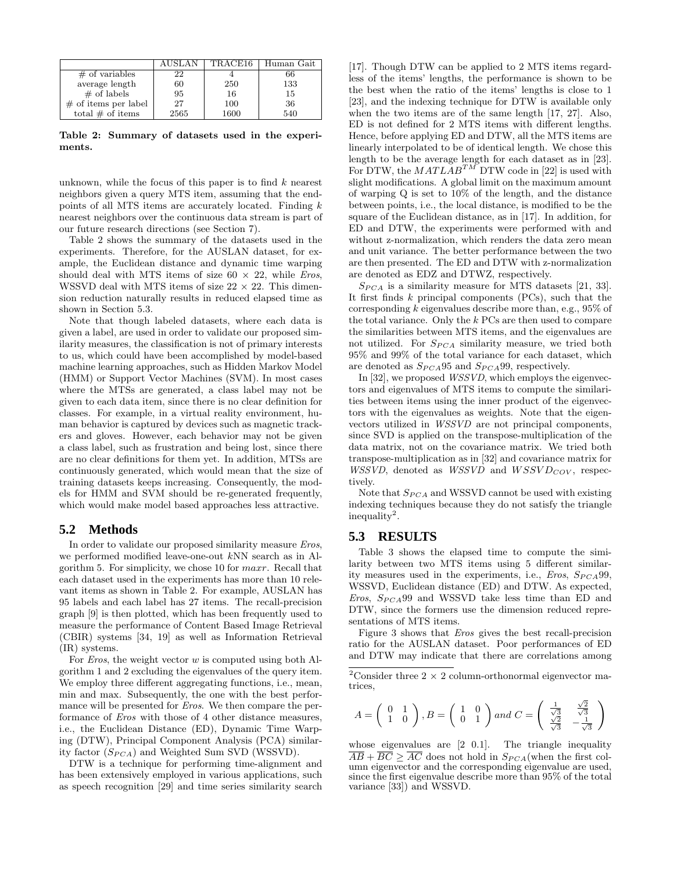|                        | AUSLAN | TRACE16  | Human Gait |
|------------------------|--------|----------|------------|
| $\#$ of variables      | 22     |          | 66         |
| average length         | 60     | 250      | 133        |
| $#$ of labels          | 95     | 16       | 15         |
| $#$ of items per label | 27     | 100      | 36         |
| total $#$ of items     | 2565   | $1600\,$ | 540        |

**Table 2: Summary of datasets used in the experiments.**

unknown, while the focus of this paper is to find  $k$  nearest neighbors given a query MTS item, assuming that the endpoints of all MTS items are accurately located. Finding k nearest neighbors over the continuous data stream is part of our future research directions (see Section 7).

Table 2 shows the summary of the datasets used in the experiments. Therefore, for the AUSLAN dataset, for example, the Euclidean distance and dynamic time warping should deal with MTS items of size  $60 \times 22$ , while *Eros*, WSSVD deal with MTS items of size  $22 \times 22$ . This dimension reduction naturally results in reduced elapsed time as shown in Section 5.3.

Note that though labeled datasets, where each data is given a label, are used in order to validate our proposed similarity measures, the classification is not of primary interests to us, which could have been accomplished by model-based machine learning approaches, such as Hidden Markov Model (HMM) or Support Vector Machines (SVM). In most cases where the MTSs are generated, a class label may not be given to each data item, since there is no clear definition for classes. For example, in a virtual reality environment, human behavior is captured by devices such as magnetic trackers and gloves. However, each behavior may not be given a class label, such as frustration and being lost, since there are no clear definitions for them yet. In addition, MTSs are continuously generated, which would mean that the size of training datasets keeps increasing. Consequently, the models for HMM and SVM should be re-generated frequently, which would make model based approaches less attractive.

#### **5.2 Methods**

In order to validate our proposed similarity measure *Eros*, we performed modified leave-one-out  $kNN$  search as in Algorithm 5. For simplicity, we chose 10 for  $maxr$ . Recall that each dataset used in the experiments has more than 10 relevant items as shown in Table 2. For example, AUSLAN has 95 labels and each label has 27 items. The recall-precision graph [9] is then plotted, which has been frequently used to measure the performance of Content Based Image Retrieval (CBIR) systems [34, 19] as well as Information Retrieval (IR) systems.

For *Eros*, the weight vector w is computed using both Algorithm 1 and 2 excluding the eigenvalues of the query item. We employ three different aggregating functions, i.e., mean, min and max. Subsequently, the one with the best performance will be presented for *Eros*. We then compare the performance of *Eros* with those of 4 other distance measures, i.e., the Euclidean Distance (ED), Dynamic Time Warping (DTW), Principal Component Analysis (PCA) similarity factor (S*PCA*) and Weighted Sum SVD (WSSVD).

DTW is a technique for performing time-alignment and has been extensively employed in various applications, such as speech recognition [29] and time series similarity search

[17]. Though DTW can be applied to 2 MTS items regardless of the items' lengths, the performance is shown to be the best when the ratio of the items' lengths is close to 1 [23], and the indexing technique for DTW is available only when the two items are of the same length [17, 27]. Also, ED is not defined for 2 MTS items with different lengths. Hence, before applying ED and DTW, all the MTS items are linearly interpolated to be of identical length. We chose this length to be the average length for each dataset as in  $[23]$ . For DTW, the  $MAT L\tilde{A}B^{TM}$  DTW code in [22] is used with slight modifications. A global limit on the maximum amount of warping Q is set to 10% of the length, and the distance between points, i.e., the local distance, is modified to be the square of the Euclidean distance, as in [17]. In addition, for ED and DTW, the experiments were performed with and without z-normalization, which renders the data zero mean and unit variance. The better performance between the two are then presented. The ED and DTW with z-normalization are denoted as EDZ and DTWZ, respectively.

S*PCA* is a similarity measure for MTS datasets [21, 33]. It first finds  $k$  principal components (PCs), such that the corresponding k eigenvalues describe more than, e.g., 95% of the total variance. Only the k PCs are then used to compare the similarities between MTS items, and the eigenvalues are not utilized. For S*PCA* similarity measure, we tried both 95% and 99% of the total variance for each dataset, which are denoted as S*PCA*95 and S*PCA*99, respectively.

In [32], we proposed *WSSVD*, which employs the eigenvectors and eigenvalues of MTS items to compute the similarities between items using the inner product of the eigenvectors with the eigenvalues as weights. Note that the eigenvectors utilized in *WSSVD* are not principal components, since SVD is applied on the transpose-multiplication of the data matrix, not on the covariance matrix. We tried both transpose-multiplication as in [32] and covariance matrix for *WSSVD*, denoted as *WSSVD* and *WSSVDcov*, respectively.

Note that  $S_{PCA}$  and WSSVD cannot be used with existing indexing techniques because they do not satisfy the triangle inequality<sup>2</sup>.

# **5.3 RESULTS**

Table 3 shows the elapsed time to compute the similarity between two MTS items using 5 different similarity measures used in the experiments, i.e., *Eros*, S*PCA*99, WSSVD, Euclidean distance (ED) and DTW. As expected, *Eros*, S*PCA*99 and WSSVD take less time than ED and DTW, since the formers use the dimension reduced representations of MTS items.

Figure 3 shows that *Eros* gives the best recall-precision ratio for the AUSLAN dataset. Poor performances of ED and DTW may indicate that there are correlations among

$$
A = \begin{pmatrix} 0 & 1 \\ 1 & 0 \end{pmatrix}, B = \begin{pmatrix} 1 & 0 \\ 0 & 1 \end{pmatrix} and C = \begin{pmatrix} \frac{1}{\sqrt{3}} & \frac{\sqrt{2}}{\sqrt{3}} \\ \frac{\sqrt{2}}{\sqrt{3}} & -\frac{1}{\sqrt{3}} \end{pmatrix}
$$

whose eigenvalues are [2 0.1]. The triangle inequality  $\overline{AB} + \overline{BC} \geq \overline{AC}$  does not hold in  $S_{PCA}$  (when the first column eigenvector and the corresponding eigenvalue are used, since the first eigenvalue describe more than 95% of the total variance [33]) and WSSVD.

<sup>&</sup>lt;sup>2</sup>Consider three  $2 \times 2$  column-orthonormal eigenvector matrices,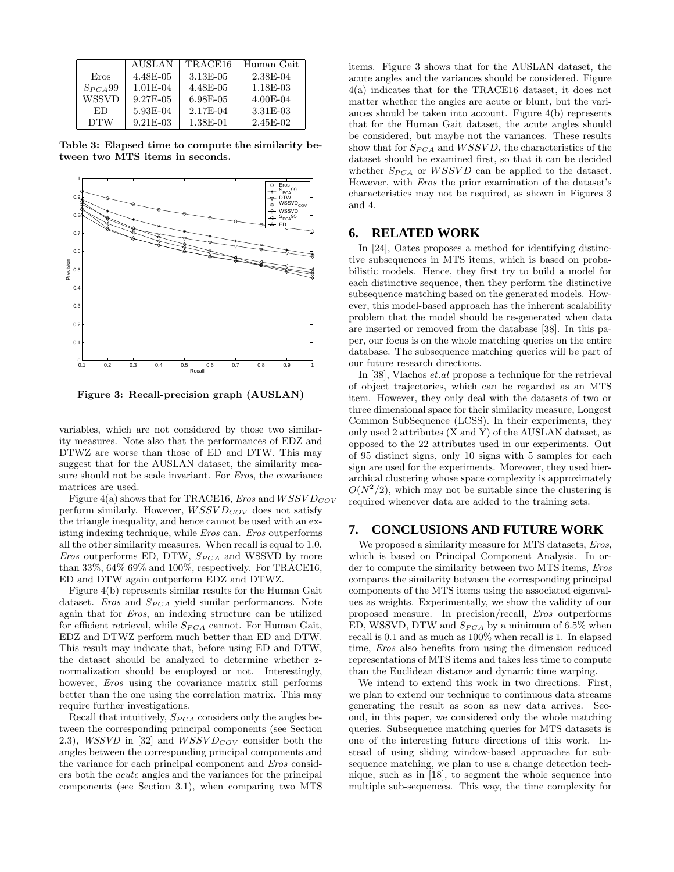|              | <b>AUSLAN</b> | TRACE16  | Human Gait |
|--------------|---------------|----------|------------|
| Eros         | 4.48E-05      | 3.13E-05 | 2.38E-04   |
| $S_{PCA}$ 99 | $1.01E-04$    | 4.48E-05 | 1.18E-03   |
| WSSVD        | 9.27E-05      | 6.98E-05 | 4.00E-04   |
| ED           | 5.93E-04      | 2.17E-04 | 3.31E-03   |
| <b>DTW</b>   | $9.21E - 0.3$ | 1.38E-01 | 2.45E-02   |

**Table 3: Elapsed time to compute the similarity between two MTS items in seconds.**



**Figure 3: Recall-precision graph (AUSLAN)**

variables, which are not considered by those two similarity measures. Note also that the performances of EDZ and DTWZ are worse than those of ED and DTW. This may suggest that for the AUSLAN dataset, the similarity measure should not be scale invariant. For *Eros*, the covariance matrices are used.

Figure 4(a) shows that for TRACE16, *Eros* and WSSV D*COV* perform similarly. However, WSSV D*COV* does not satisfy the triangle inequality, and hence cannot be used with an existing indexing technique, while *Eros* can. *Eros* outperforms all the other similarity measures. When recall is equal to 1.0, *Eros* outperforms ED, DTW, S*PCA* and WSSVD by more than 33%, 64% 69% and 100%, respectively. For TRACE16, ED and DTW again outperform EDZ and DTWZ.

Figure 4(b) represents similar results for the Human Gait dataset. *Eros* and S*PCA* yield similar performances. Note again that for *Eros*, an indexing structure can be utilized for efficient retrieval, while S*PCA* cannot. For Human Gait, EDZ and DTWZ perform much better than ED and DTW. This result may indicate that, before using ED and DTW, the dataset should be analyzed to determine whether znormalization should be employed or not. Interestingly, however, *Eros* using the covariance matrix still performs better than the one using the correlation matrix. This may require further investigations.

Recall that intuitively, S*PCA* considers only the angles between the corresponding principal components (see Section 2.3), *WSSVD* in [32] and  $WSSVD_{COV}$  consider both the angles between the corresponding principal components and the variance for each principal component and *Eros* considers both the *acute* angles and the variances for the principal components (see Section 3.1), when comparing two MTS items. Figure 3 shows that for the AUSLAN dataset, the acute angles and the variances should be considered. Figure 4(a) indicates that for the TRACE16 dataset, it does not matter whether the angles are acute or blunt, but the variances should be taken into account. Figure 4(b) represents that for the Human Gait dataset, the acute angles should be considered, but maybe not the variances. These results show that for  $S_{PCA}$  and  $WSSVD$ , the characteristics of the dataset should be examined first, so that it can be decided whether  $S_{PCA}$  or  $WSSVD$  can be applied to the dataset. However, with *Eros* the prior examination of the dataset's characteristics may not be required, as shown in Figures 3 and 4.

#### **6. RELATED WORK**

In [24], Oates proposes a method for identifying distinctive subsequences in MTS items, which is based on probabilistic models. Hence, they first try to build a model for each distinctive sequence, then they perform the distinctive subsequence matching based on the generated models. However, this model-based approach has the inherent scalability problem that the model should be re-generated when data are inserted or removed from the database [38]. In this paper, our focus is on the whole matching queries on the entire database. The subsequence matching queries will be part of our future research directions.

In [38], Vlachos *et.al* propose a technique for the retrieval of object trajectories, which can be regarded as an MTS item. However, they only deal with the datasets of two or three dimensional space for their similarity measure, Longest Common SubSequence (LCSS). In their experiments, they only used 2 attributes (X and Y) of the AUSLAN dataset, as opposed to the 22 attributes used in our experiments. Out of 95 distinct signs, only 10 signs with 5 samples for each sign are used for the experiments. Moreover, they used hierarchical clustering whose space complexity is approximately  $O(N^2/2)$ , which may not be suitable since the clustering is required whenever data are added to the training sets.

# **7. CONCLUSIONS AND FUTURE WORK**

We proposed a similarity measure for MTS datasets, *Eros*, which is based on Principal Component Analysis. In order to compute the similarity between two MTS items, *Eros* compares the similarity between the corresponding principal components of the MTS items using the associated eigenvalues as weights. Experimentally, we show the validity of our proposed measure. In precision/recall, *Eros* outperforms ED, WSSVD, DTW and S*PCA* by a minimum of 6.5% when recall is 0.1 and as much as 100% when recall is 1. In elapsed time, *Eros* also benefits from using the dimension reduced representations of MTS items and takes less time to compute than the Euclidean distance and dynamic time warping.

We intend to extend this work in two directions. First, we plan to extend our technique to continuous data streams generating the result as soon as new data arrives. Second, in this paper, we considered only the whole matching queries. Subsequence matching queries for MTS datasets is one of the interesting future directions of this work. Instead of using sliding window-based approaches for subsequence matching, we plan to use a change detection technique, such as in [18], to segment the whole sequence into multiple sub-sequences. This way, the time complexity for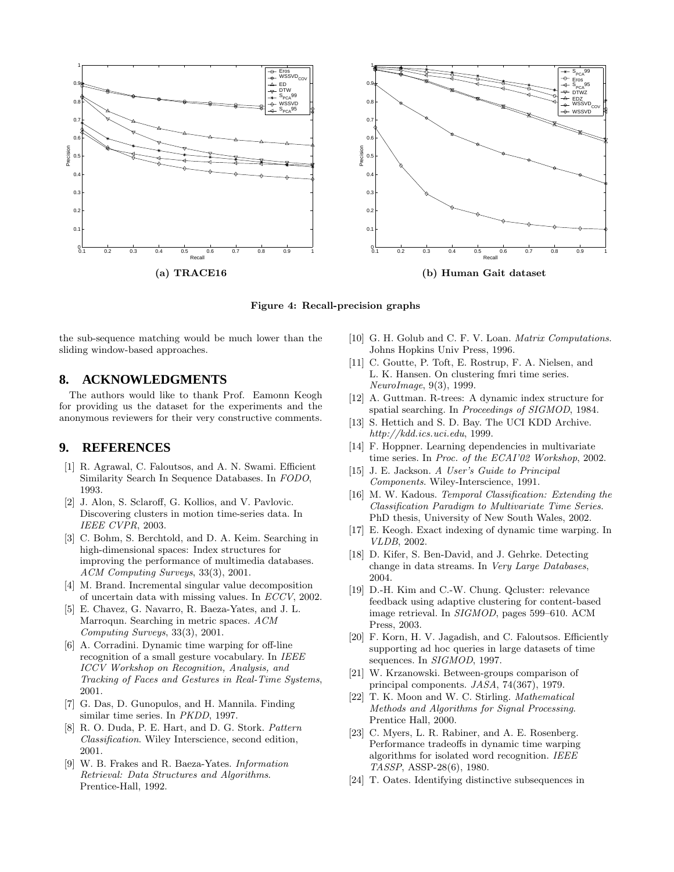

**Figure 4: Recall-precision graphs**

the sub-sequence matching would be much lower than the sliding window-based approaches.

# **8. ACKNOWLEDGMENTS**

The authors would like to thank Prof. Eamonn Keogh for providing us the dataset for the experiments and the anonymous reviewers for their very constructive comments.

# **9. REFERENCES**

- [1] R. Agrawal, C. Faloutsos, and A. N. Swami. Efficient Similarity Search In Sequence Databases. In *FODO*, 1993.
- [2] J. Alon, S. Sclaroff, G. Kollios, and V. Pavlovic. Discovering clusters in motion time-series data. In *IEEE CVPR*, 2003.
- [3] C. Bohm, S. Berchtold, and D. A. Keim. Searching in high-dimensional spaces: Index structures for improving the performance of multimedia databases. *ACM Computing Surveys*, 33(3), 2001.
- [4] M. Brand. Incremental singular value decomposition of uncertain data with missing values. In *ECCV*, 2002.
- [5] E. Chavez, G. Navarro, R. Baeza-Yates, and J. L. Marroqun. Searching in metric spaces. *ACM Computing Surveys*, 33(3), 2001.
- A. Corradini. Dynamic time warping for off-line recognition of a small gesture vocabulary. In *IEEE ICCV Workshop on Recognition, Analysis, and Tracking of Faces and Gestures in Real-Time Systems*, 2001.
- [7] G. Das, D. Gunopulos, and H. Mannila. Finding similar time series. In *PKDD*, 1997.
- [8] R. O. Duda, P. E. Hart, and D. G. Stork. *Pattern Classification*. Wiley Interscience, second edition, 2001.
- [9] W. B. Frakes and R. Baeza-Yates. *Information Retrieval: Data Structures and Algorithms*. Prentice-Hall, 1992.
- [10] G. H. Golub and C. F. V. Loan. *Matrix Computations*. Johns Hopkins Univ Press, 1996.
- [11] C. Goutte, P. Toft, E. Rostrup, F. A. Nielsen, and L. K. Hansen. On clustering fmri time series. *NeuroImage*, 9(3), 1999.
- [12] A. Guttman. R-trees: A dynamic index structure for spatial searching. In *Proceedings of SIGMOD*, 1984.
- [13] S. Hettich and S. D. Bay. The UCI KDD Archive. *http://kdd.ics.uci.edu*, 1999.
- [14] F. Hoppner. Learning dependencies in multivariate time series. In *Proc. of the ECAI'02 Workshop*, 2002.
- [15] J. E. Jackson. *A User's Guide to Principal Components*. Wiley-Interscience, 1991.
- [16] M. W. Kadous. *Temporal Classification: Extending the Classification Paradigm to Multivariate Time Series*. PhD thesis, University of New South Wales, 2002.
- [17] E. Keogh. Exact indexing of dynamic time warping. In *VLDB*, 2002.
- [18] D. Kifer, S. Ben-David, and J. Gehrke. Detecting change in data streams. In *Very Large Databases*, 2004.
- [19] D.-H. Kim and C.-W. Chung. Qcluster: relevance feedback using adaptive clustering for content-based image retrieval. In *SIGMOD*, pages 599–610. ACM Press, 2003.
- [20] F. Korn, H. V. Jagadish, and C. Faloutsos. Efficiently supporting ad hoc queries in large datasets of time sequences. In *SIGMOD*, 1997.
- [21] W. Krzanowski. Between-groups comparison of principal components. *JASA*, 74(367), 1979.
- [22] T. K. Moon and W. C. Stirling. *Mathematical Methods and Algorithms for Signal Processing*. Prentice Hall, 2000.
- [23] C. Myers, L. R. Rabiner, and A. E. Rosenberg. Performance tradeoffs in dynamic time warping algorithms for isolated word recognition. *IEEE TASSP*, ASSP-28(6), 1980.
- [24] T. Oates. Identifying distinctive subsequences in